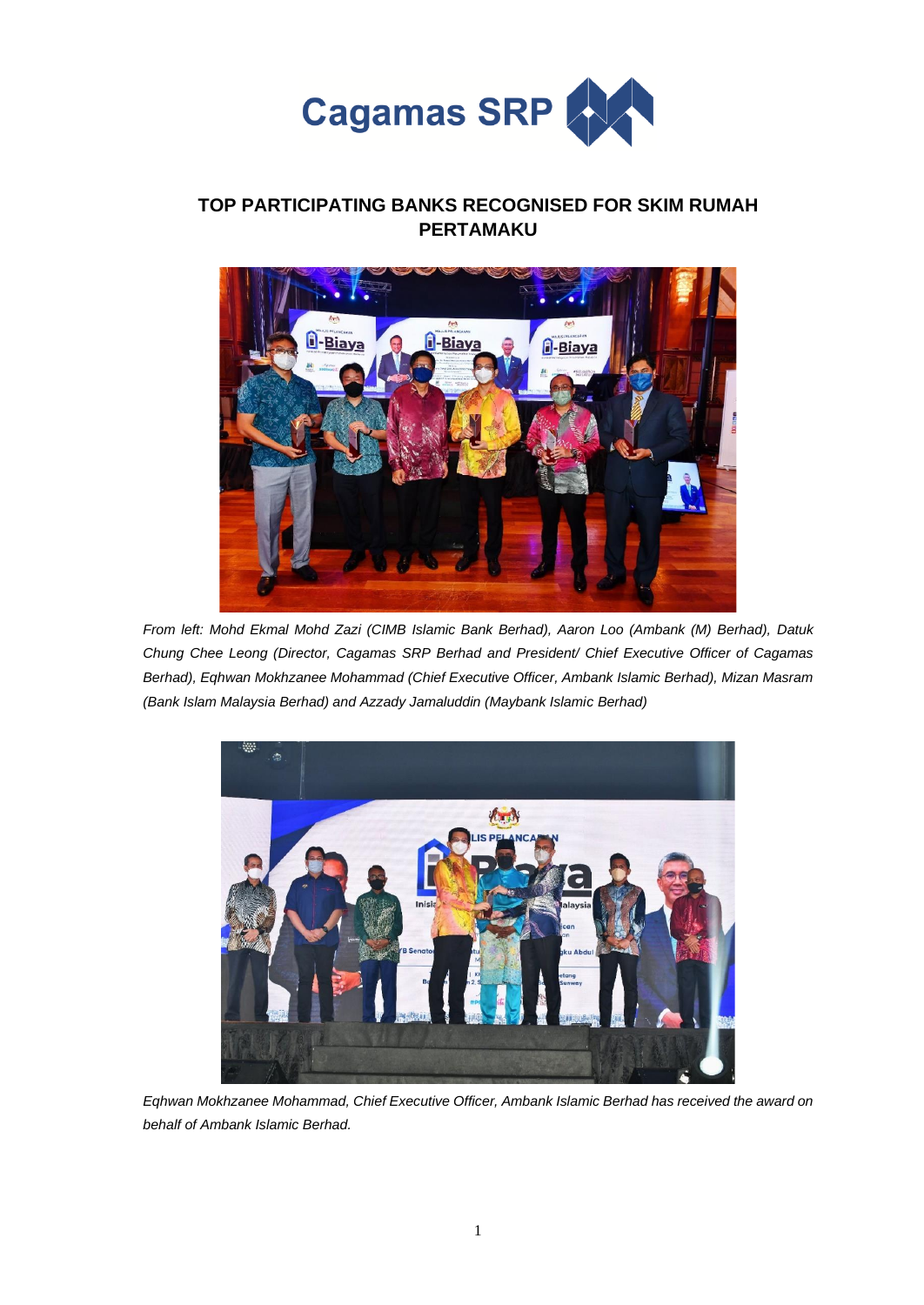

## **TOP PARTICIPATING BANKS RECOGNISED FOR SKIM RUMAH PERTAMAKU**



*From left: Mohd Ekmal Mohd Zazi (CIMB Islamic Bank Berhad), Aaron Loo (Ambank (M) Berhad), Datuk Chung Chee Leong (Director, Cagamas SRP Berhad and President/ Chief Executive Officer of Cagamas Berhad), Eqhwan Mokhzanee Mohammad (Chief Executive Officer, Ambank Islamic Berhad), Mizan Masram (Bank Islam Malaysia Berhad) and Azzady Jamaluddin (Maybank Islamic Berhad)*



*Eqhwan Mokhzanee Mohammad, Chief Executive Officer, Ambank Islamic Berhad has received the award on behalf of Ambank Islamic Berhad.*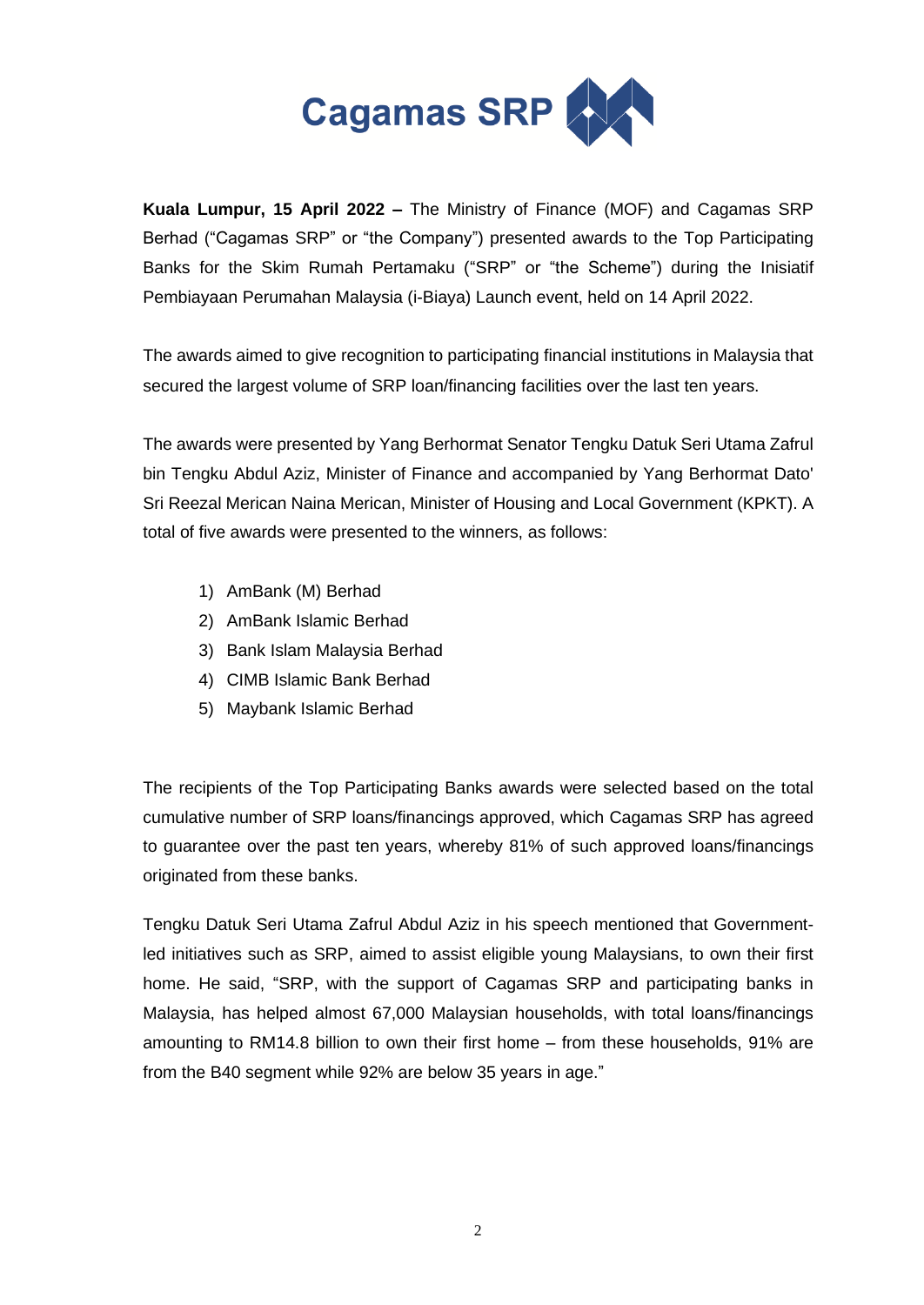

**Kuala Lumpur, 15 April 2022 –** The Ministry of Finance (MOF) and Cagamas SRP Berhad ("Cagamas SRP" or "the Company") presented awards to the Top Participating Banks for the Skim Rumah Pertamaku ("SRP" or "the Scheme") during the Inisiatif Pembiayaan Perumahan Malaysia (i-Biaya) Launch event, held on 14 April 2022.

The awards aimed to give recognition to participating financial institutions in Malaysia that secured the largest volume of SRP loan/financing facilities over the last ten years.

The awards were presented by Yang Berhormat Senator Tengku Datuk Seri Utama Zafrul bin Tengku Abdul Aziz, Minister of Finance and accompanied by Yang Berhormat Dato' Sri Reezal Merican Naina Merican, Minister of Housing and Local Government (KPKT). A total of five awards were presented to the winners, as follows:

- 1) AmBank (M) Berhad
- 2) AmBank Islamic Berhad
- 3) Bank Islam Malaysia Berhad
- 4) CIMB Islamic Bank Berhad
- 5) Maybank Islamic Berhad

The recipients of the Top Participating Banks awards were selected based on the total cumulative number of SRP loans/financings approved, which Cagamas SRP has agreed to guarantee over the past ten years, whereby 81% of such approved loans/financings originated from these banks.

Tengku Datuk Seri Utama Zafrul Abdul Aziz in his speech mentioned that Governmentled initiatives such as SRP, aimed to assist eligible young Malaysians, to own their first home. He said, "SRP, with the support of Cagamas SRP and participating banks in Malaysia, has helped almost 67,000 Malaysian households, with total loans/financings amounting to RM14.8 billion to own their first home – from these households, 91% are from the B40 segment while 92% are below 35 years in age."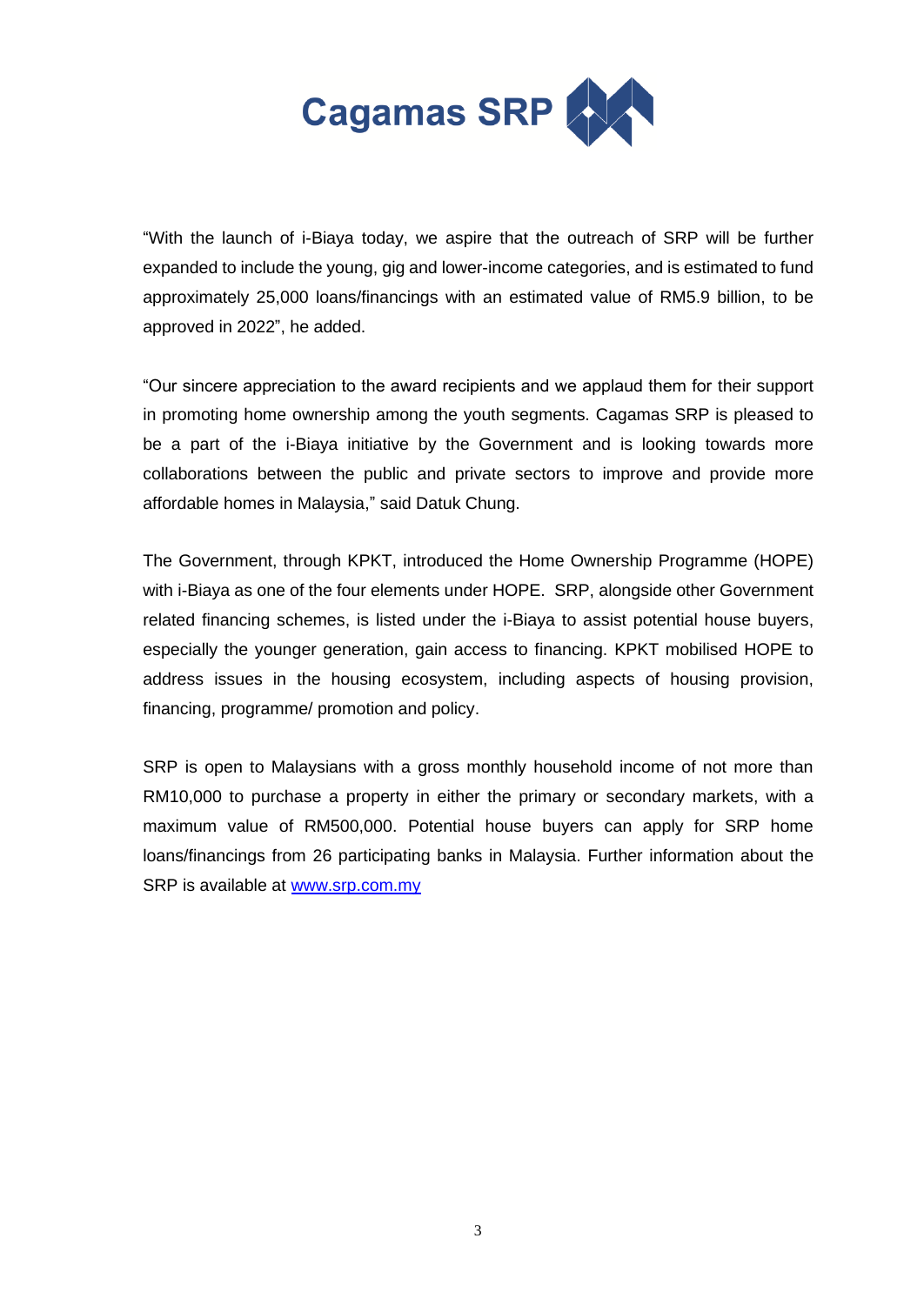

"With the launch of i-Biaya today, we aspire that the outreach of SRP will be further expanded to include the young, gig and lower-income categories, and is estimated to fund approximately 25,000 loans/financings with an estimated value of RM5.9 billion, to be approved in 2022", he added.

"Our sincere appreciation to the award recipients and we applaud them for their support in promoting home ownership among the youth segments. Cagamas SRP is pleased to be a part of the i-Biaya initiative by the Government and is looking towards more collaborations between the public and private sectors to improve and provide more affordable homes in Malaysia," said Datuk Chung.

The Government, through KPKT, introduced the Home Ownership Programme (HOPE) with i-Biaya as one of the four elements under HOPE. SRP, alongside other Government related financing schemes, is listed under the i-Biaya to assist potential house buyers, especially the younger generation, gain access to financing. KPKT mobilised HOPE to address issues in the housing ecosystem, including aspects of housing provision, financing, programme/ promotion and policy.

SRP is open to Malaysians with a gross monthly household income of not more than RM10,000 to purchase a property in either the primary or secondary markets, with a maximum value of RM500,000. Potential house buyers can apply for SRP home loans/financings from 26 participating banks in Malaysia. Further information about the SRP is available at [www.srp.com.my](http://www.srp.com.my/)